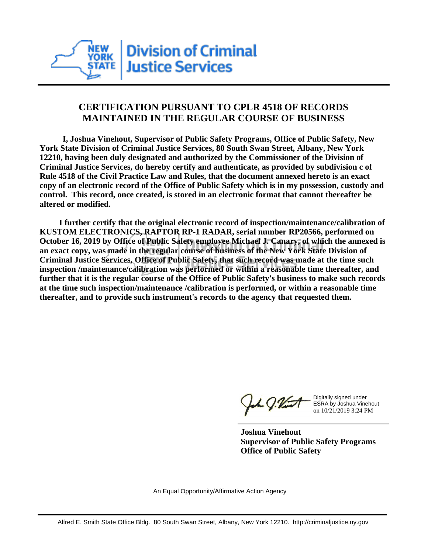

## **CERTIFICATION PURSUANT TO CPLR 4518 OF RECORDS MAINTAINED IN THE REGULAR COURSE OF BUSINESS**

 **I, Joshua Vinehout, Supervisor of Public Safety Programs, Office of Public Safety, New York State Division of Criminal Justice Services, 80 South Swan Street, Albany, New York 12210, having been duly designated and authorized by the Commissioner of the Division of Criminal Justice Services, do hereby certify and authenticate, as provided by subdivision c of Rule 4518 of the Civil Practice Law and Rules, that the document annexed hereto is an exact copy of an electronic record of the Office of Public Safety which is in my possession, custody and control. This record, once created, is stored in an electronic format that cannot thereafter be altered or modified.**

 **I further certify that the original electronic record of inspection/maintenance/calibration of KUSTOM ELECTRONICS, RAPTOR RP-1 RADAR, serial number RP20566, performed on October 16, 2019 by Office of Public Safety employee Michael J. Canary, of which the annexed is an exact copy, was made in the regular course of business of the New York State Division of Criminal Justice Services, Office of Public Safety, that such record was made at the time such inspection /maintenance/calibration was performed or within a reasonable time thereafter, and further that it is the regular course of the Office of Public Safety's business to make such records at the time such inspection/maintenance /calibration is performed, or within a reasonable time thereafter, and to provide such instrument's records to the agency that requested them.**

the g. Vint

Digitally signed under ESRA by Joshua Vinehout on 10/21/2019 3:24 PM

**Joshua Vinehout Supervisor of Public Safety Programs Office of Public Safety**

An Equal Opportunity/Affirmative Action Agency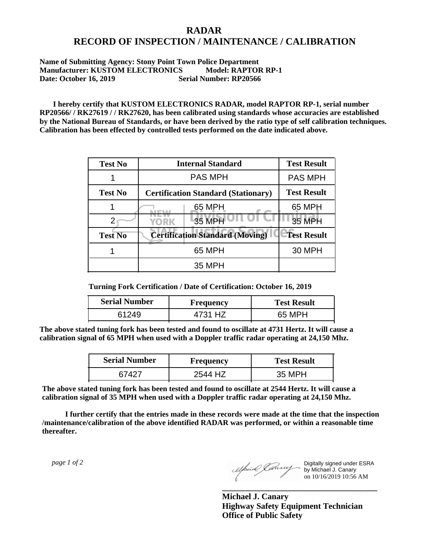## **RADAR RECORD OF INSPECTION / MAINTENANCE / CALIBRATION**

## **Name of Submitting Agency: Stony Point Town Police Department Manufacturer: KUSTOM ELECTRONICS Model: RAPTOR RP-1 Date: October 16, 2019 Serial Number: RP20566**

 **I hereby certify that KUSTOM ELECTRONICS RADAR, model RAPTOR RP-1, serial number RP20566/ / RK27619 / / RK27620, has been calibrated using standards whose accuracies are established by the National Bureau of Standards, or have been derived by the ratio type of self calibration techniques. Calibration has been effected by controlled tests performed on the date indicated above.**

| <b>Test No</b> | <b>Internal Standard</b>                   | <b>Test Result</b> |
|----------------|--------------------------------------------|--------------------|
|                | <b>PAS MPH</b>                             | <b>PAS MPH</b>     |
| <b>Test No</b> | <b>Certification Standard (Stationary)</b> | <b>Test Result</b> |
|                | 65 MPH                                     | 65 MPH             |
|                | 35 MPH<br>YORK                             | 35 MPH             |
| <b>Test No</b> | <b>Certification Standard (Moving)</b>     | <b>Test Result</b> |
|                | 65 MPH                                     | <b>30 MPH</b>      |
|                | <b>35 MPH</b>                              |                    |

**Turning Fork Certification / Date of Certification: October 16, 2019**

| <b>Serial Number</b> | Frequency | <b>Test Result</b> |
|----------------------|-----------|--------------------|
| 61249                | 4731 HZ   | 65 MPH             |

**The above stated tuning fork has been tested and found to oscillate at 4731 Hertz. It will cause a calibration signal of 65 MPH when used with a Doppler traffic radar operating at 24,150 Mhz.**

| <b>Serial Number</b> | <b>Frequency</b> | <b>Test Result</b> |
|----------------------|------------------|--------------------|
| 67427                | 2544 HZ          | 35 MPH             |

**The above stated tuning fork has been tested and found to oscillate at 2544 Hertz. It will cause a calibration signal of 35 MPH when used with a Doppler traffic radar operating at 24,150 Mhz.**

 **I further certify that the entries made in these records were made at the time that the inspection /maintenance/calibration of the above identified RADAR was performed, or within a reasonable time thereafter.**

 *page 1 of 2* 

Digitally signed under ESRA by Michael J. Canary on 10/16/2019 10:56 AM

**Michael J. Canary Highway Safety Equipment Technician Office of Public Safety**

**\_\_\_\_\_\_\_\_\_\_\_\_\_\_\_\_\_\_\_\_\_\_\_\_\_\_\_\_\_\_\_\_\_\_\_\_\_**